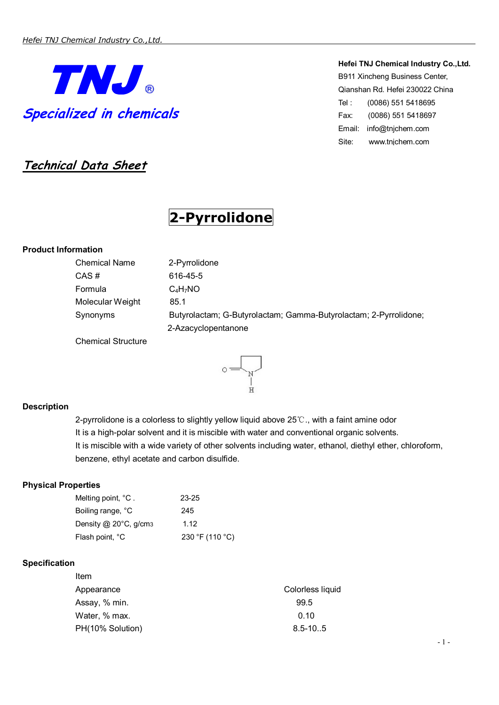

**Technical Data Sheet**

# **2-Pyrrolidone**

# **Product Information**

| <b>Chemical Name</b>                                                                    | 2-Pyrrolidone                                                    |
|-----------------------------------------------------------------------------------------|------------------------------------------------------------------|
| CAS#                                                                                    | 616-45-5                                                         |
| Formula                                                                                 | $C_4H_7NO$                                                       |
| Molecular Weight                                                                        | 85.1                                                             |
| Synonyms                                                                                | Butyrolactam; G-Butyrolactam; Gamma-Butyrolactam; 2-Pyrrolidone; |
|                                                                                         | 2-Azacyclopentanone                                              |
| $\bigcap_{i=1}^{n}$ and $\bigcap_{i=1}^{n}$ $\bigcap_{i=1}^{n}$ and $\bigcap_{i=1}^{n}$ |                                                                  |

Chemical Structure



# **Description**

2-pyrrolidone is a colorless to slightly yellow liquid above 25℃., with a faint amine odor It is a high-polar solvent and it is miscible with water and conventional organic solvents. It is miscible with a wide variety of other solvents including water, ethanol, diethyl ether, chloroform, benzene, ethyl acetate and carbon disulfide.

## **Physical Properties**

| Melting point, °C.    | 23-25           |
|-----------------------|-----------------|
| Boiling range, °C     | 245             |
| Density @ 20°C, g/cm3 | 1.12            |
| Flash point, °C       | 230 °F (110 °C) |

## **Specification**

| Colorless liquid |
|------------------|
| 99.5             |
| 0.10             |
| $8.5 - 10.5$     |
|                  |

# **Hefei TNJ Chemical Industry Co.,Ltd.**  B911 Xincheng Business Center,

Qianshan Rd. Hefei 230022 China Tel : (0086) 551 5418695 Fax: (0086) 551 5418697 Email: info@tnjchem.com Site: www.tnjchem.com